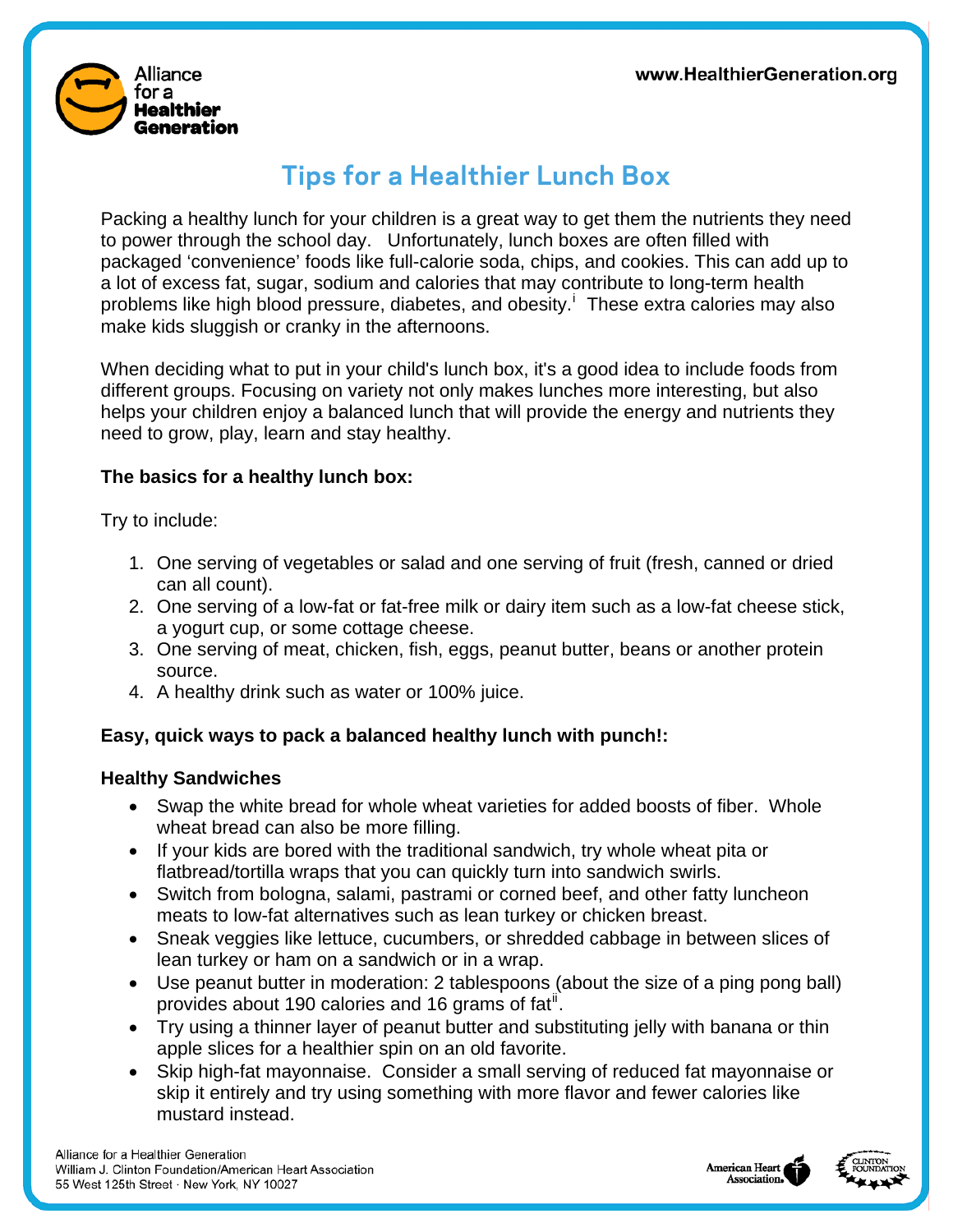

# **Tips for a Healthier Lunch Box**

Packing a healthy lunch for your children is a great way to get them the nutrients they need to power through the school day. Unfortunately, lunch boxes are often filled with packaged 'convenience' foods like full-calorie soda, chips, and cookies. This can add up to a lot of excess fat, sugar, sodium and calories that may contribute to long-term health problems l[i](#page-2-0)ke high blood pressure, diabetes, and obesity.<sup>1</sup> These extra calories may also make kids sluggish or cranky in the afternoons.

When deciding what to put in your child's lunch box, it's a good idea to include foods from different groups. Focusing on variety not only makes lunches more interesting, but also helps your children enjoy a balanced lunch that will provide the energy and nutrients they need to grow, play, learn and stay healthy.

#### **The basics for a healthy lunch box:**

Try to include:

- 1. One serving of vegetables or salad and one serving of fruit (fresh, canned or dried can all count).
- 2. One serving of a low-fat or fat-free milk or dairy item such as a low-fat cheese stick, a yogurt cup, or some cottage cheese.
- 3. One serving of meat, chicken, fish, eggs, peanut butter, beans or another protein source.
- 4. A healthy drink such as water or 100% juice.

#### **Easy, quick ways to pack a balanced healthy lunch with punch!:**

#### **Healthy Sandwiches**

- Swap the white bread for whole wheat varieties for added boosts of fiber. Whole wheat bread can also be more filling.
- If your kids are bored with the traditional sandwich, try whole wheat pita or flatbread/tortilla wraps that you can quickly turn into sandwich swirls.
- Switch from bologna, salami, pastrami or corned beef, and other fatty luncheon meats to low-fat alternatives such as lean turkey or chicken breast.
- Sneak veggies like lettuce, cucumbers, or shredded cabbage in between slices of lean turkey or ham on a sandwich or in a wrap.
- Use peanut butter in moderation: 2 tablespoons (about the size of a ping pong ball) provides about 190 calories and 16 grams of fat<sup>[ii](#page-2-1)</sup>.
- Try using a thinner layer of peanut butter and substituting jelly with banana or thin apple slices for a healthier spin on an old favorite.
- Skip high-fat mayonnaise. Consider a small serving of reduced fat mayonnaise or skip it entirely and try using something with more flavor and fewer calories like mustard instead.



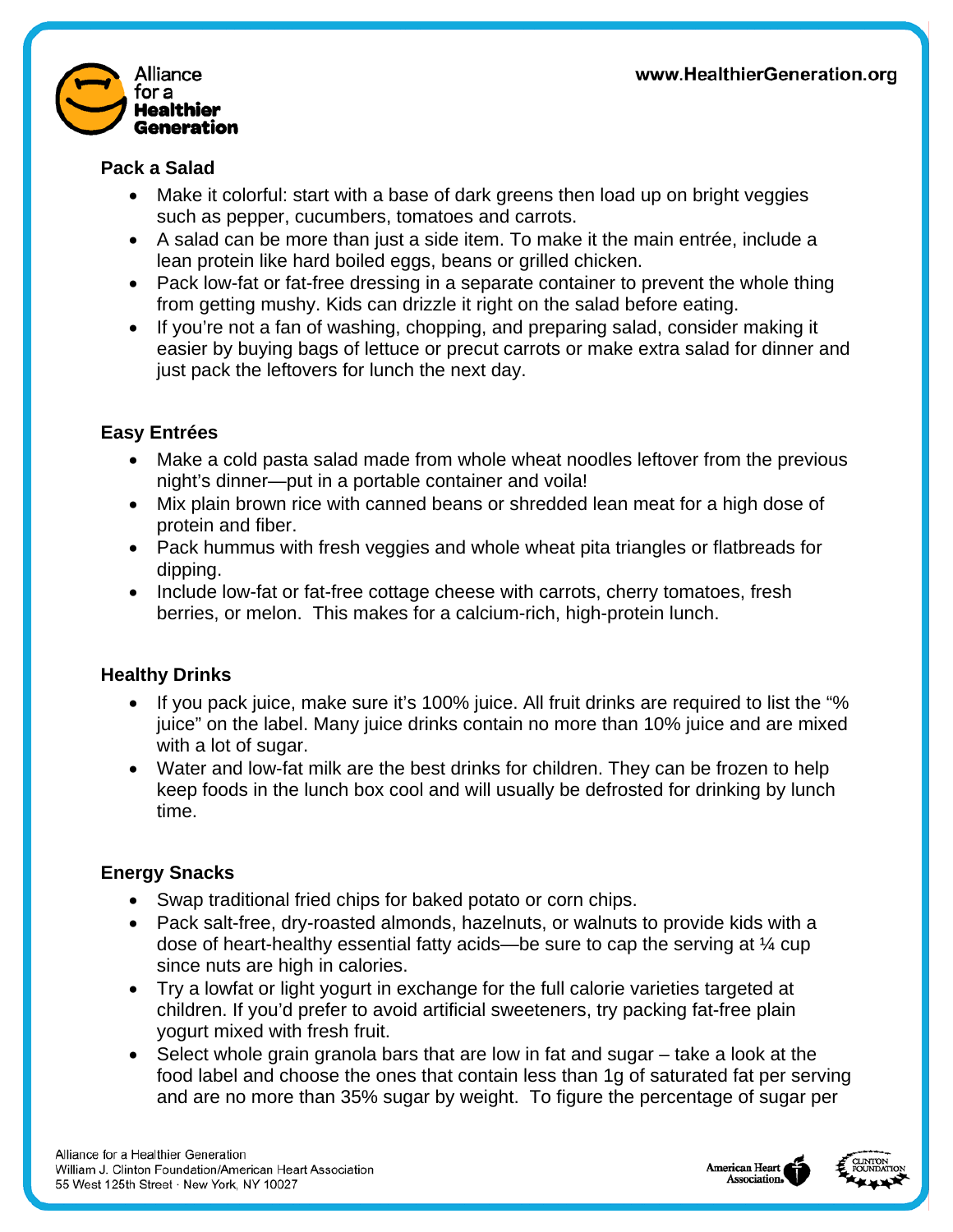

#### **Pack a Salad**

- Make it colorful: start with a base of dark greens then load up on bright veggies such as pepper, cucumbers, tomatoes and carrots.
- A salad can be more than just a side item. To make it the main entrée, include a lean protein like hard boiled eggs, beans or grilled chicken.
- Pack low-fat or fat-free dressing in a separate container to prevent the whole thing from getting mushy. Kids can drizzle it right on the salad before eating.
- If you're not a fan of washing, chopping, and preparing salad, consider making it easier by buying bags of lettuce or precut carrots or make extra salad for dinner and just pack the leftovers for lunch the next day.

### **Easy Entrées**

- Make a cold pasta salad made from whole wheat noodles leftover from the previous night's dinner—put in a portable container and voila!
- Mix plain brown rice with canned beans or shredded lean meat for a high dose of protein and fiber.
- Pack hummus with fresh veggies and whole wheat pita triangles or flatbreads for dipping.
- Include low-fat or fat-free cottage cheese with carrots, cherry tomatoes, fresh berries, or melon. This makes for a calcium-rich, high-protein lunch.

## **Healthy Drinks**

- If you pack juice, make sure it's 100% juice. All fruit drinks are required to list the "% juice" on the label. Many juice drinks contain no more than 10% juice and are mixed with a lot of sugar.
- Water and low-fat milk are the best drinks for children. They can be frozen to help keep foods in the lunch box cool and will usually be defrosted for drinking by lunch time.

## **Energy Snacks**

- Swap traditional fried chips for baked potato or corn chips.
- Pack salt-free, dry-roasted almonds, hazelnuts, or walnuts to provide kids with a dose of heart-healthy essential fatty acids—be sure to cap the serving at ¼ cup since nuts are high in calories.
- Try a lowfat or light yogurt in exchange for the full calorie varieties targeted at children. If you'd prefer to avoid artificial sweeteners, try packing fat-free plain yogurt mixed with fresh fruit.
- Select whole grain granola bars that are low in fat and sugar take a look at the food label and choose the ones that contain less than 1g of saturated fat per serving and are no more than 35% sugar by weight. To figure the percentage of sugar per